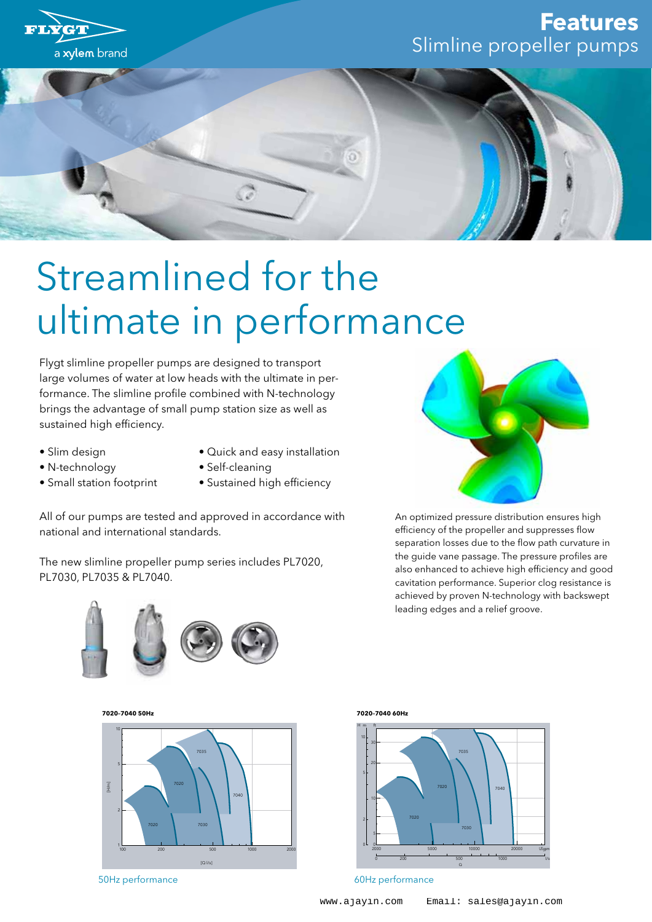

## Streamlined for the ultimate in performance

Flygt slimline propeller pumps are designed to transport large volumes of water at low heads with the ultimate in performance. The slimline profile combined with N-technology brings the advantage of small pump station size as well as sustained high efficiency.

- Slim design
- N-technology
- Quick and easy installation
- Small station footprint
- Self-cleaning
- Sustained high efficiency

All of our pumps are tested and approved in accordance with national and international standards.

The new slimline propeller pump series includes PL7020, PL7030, PL7035 & PL7040.



An optimized pressure distribution ensures high efficiency of the propeller and suppresses flow separation losses due to the flow path curvature in the guide vane passage. The pressure profiles are also enhanced to achieve high efficiency and good cavitation performance. Superior clog resistance is achieved by proven N-technology with backswept leading edges and a relief groove.



**7020–7040 50Hz**



50Hz performance

**7020–7040 60Hz**



60Hz performance